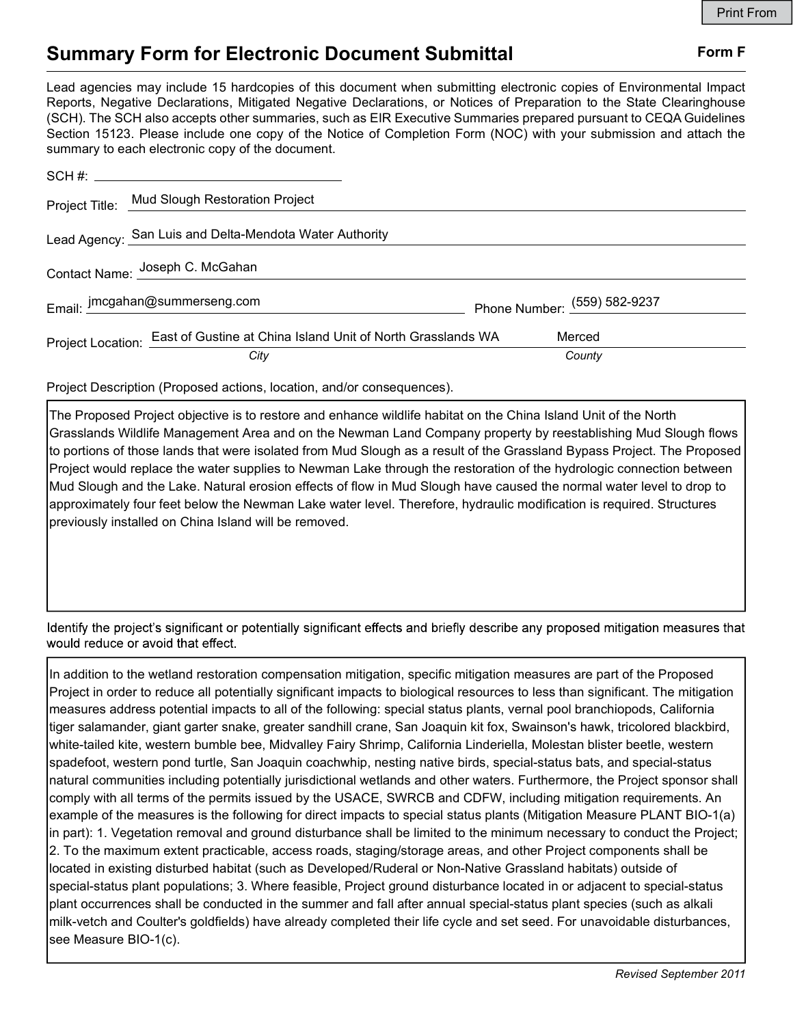## Summary Form for Electronic Document Submittal Form F

Lead agencies may include 15 hardcopies of this document when submitting electronic copies of Environmental Impact Reports, Negative Declarations, Mitigated Negative Declarations, or Notices of Preparation to the State Clearinghouse (SCH). The SCH also accepts other summaries, such as EIR Executive Summaries prepared pursuant to CEQA Guidelines Section 15123. Please include one copy of the Notice of Completion Form (NOC) with your submission and attach the summary to each electronic copy of the document.

|                                 | $SCH \#$                                                                      |                              |
|---------------------------------|-------------------------------------------------------------------------------|------------------------------|
|                                 | Project Title: Mud Slough Restoration Project                                 |                              |
|                                 | Lead Agency: San Luis and Delta-Mendota Water Authority                       |                              |
| Contact Name: Joseph C. McGahan |                                                                               |                              |
|                                 | Email: jmcgahan@summerseng.com                                                | Phone Number: (559) 582-9237 |
|                                 | Project Location: East of Gustine at China Island Unit of North Grasslands WA | Merced                       |
|                                 | City                                                                          | County                       |

Project Description (Proposed actions, location, and/or consequences).

The Proposed Project objective is to restore and enhance wildlife habitat on the China Island Unit of the North Grasslands Wildlife Management Area and on the Newman Land Company property by reestablishing Mud Slough flows to portions of those lands that were isolated from Mud Slough as a result of the Grassland Bypass Project. The Proposed Project would replace the water supplies to Newman Lake through the restoration of the hydrologic connection between Mud Slough and the Lake. Natural erosion effects of flow in Mud Slough have caused the normal water level to drop to approximately four feet below the Newman Lake water level. Therefore, hydraulic modification is required. Structures previously installed on China Island will be removed.

Identify the project's significant or potentially significant effects and briefly describe any proposed mitigation measures that would reduce or avoid that effect.

In addition to the wetland restoration compensation mitigation, specific mitigation measures are part of the Proposed Project in order to reduce all potentially significant impacts to biological resources to less than significant. The mitigation measures address potential impacts to all of the following: special status plants, vernal pool branchiopods, California tiger salamander, giant garter snake, greater sandhill crane, San Joaquin kit fox, Swainson's hawk, tricolored blackbird, white-tailed kite, western bumble bee, Midvalley Fairy Shrimp, California Linderiella, Molestan blister beetle, western spadefoot, western pond turtle, San Joaquin coachwhip, nesting native birds, special-status bats, and special-status natural communities including potentially jurisdictional wetlands and other waters. Furthermore, the Project sponsor shall comply with all terms of the permits issued by the USACE, SWRCB and CDFW, including mitigation requirements. An example of the measures is the following for direct impacts to special status plants (Mitigation Measure PLANT BIO-1(a) in part): 1. Vegetation removal and ground disturbance shall be limited to the minimum necessary to conduct the Project; 2. To the maximum extent practicable, access roads, staging/storage areas, and other Project components shall be located in existing disturbed habitat (such as Developed/Ruderal or Non-Native Grassland habitats) outside of special-status plant populations; 3. Where feasible, Project ground disturbance located in or adjacent to special-status plant occurrences shall be conducted in the summer and fall after annual special-status plant species (such as alkali milk-vetch and Coulter's goldfields) have already completed their life cycle and set seed. For unavoidable disturbances, see Measure BIO-1(c).